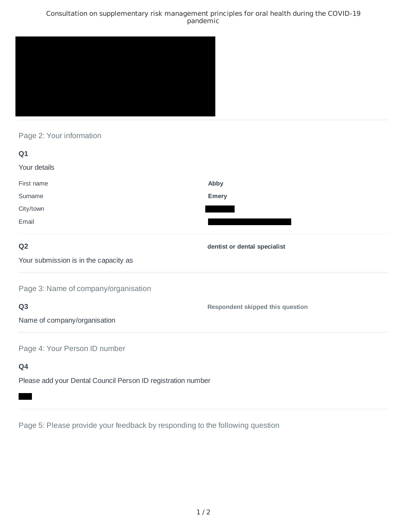### Consultation on supplementary risk management principles for oral health during the COVID-19 pandemic



## Page 2: Your information

| Q1                                                           |                                         |
|--------------------------------------------------------------|-----------------------------------------|
| Your details                                                 |                                         |
| First name                                                   | Abby                                    |
| Surname                                                      | <b>Emery</b>                            |
| City/town                                                    |                                         |
| Email                                                        |                                         |
| Q <sub>2</sub>                                               | dentist or dental specialist            |
| Your submission is in the capacity as                        |                                         |
| Page 3: Name of company/organisation                         |                                         |
| Q <sub>3</sub>                                               | <b>Respondent skipped this question</b> |
| Name of company/organisation                                 |                                         |
| Page 4: Your Person ID number                                |                                         |
| Q4                                                           |                                         |
| Please add your Dental Council Person ID registration number |                                         |

Page 5: Please provide your feedback by responding to the following question